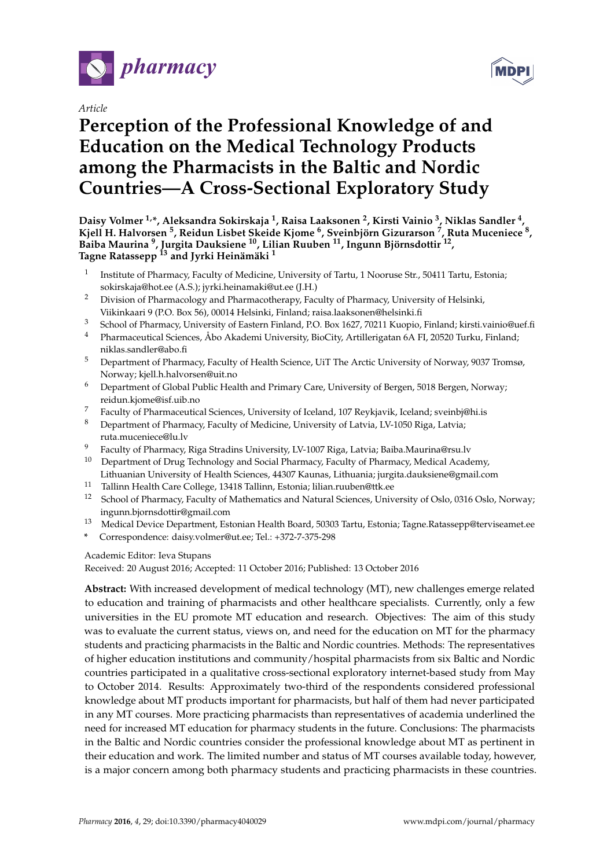

*Article*

# **Perception of the Professional Knowledge of and Education on the Medical Technology Products among the Pharmacists in the Baltic and Nordic Countries—A Cross-Sectional Exploratory Study**

**Daisy Volmer 1,\*, Aleksandra Sokirskaja <sup>1</sup> , Raisa Laaksonen <sup>2</sup> , Kirsti Vainio <sup>3</sup> , Niklas Sandler <sup>4</sup> , Kjell H. Halvorsen <sup>5</sup> , Reidun Lisbet Skeide Kjome <sup>6</sup> , Sveinbjörn Gizurarson <sup>7</sup> , Ruta Muceniece <sup>8</sup> , Baiba Maurina <sup>9</sup> , Jurgita Dauksiene <sup>10</sup>, Lilian Ruuben <sup>11</sup>, Ingunn Björnsdottir <sup>12</sup> , Tagne Ratassepp <sup>13</sup> and Jyrki Heinämäki <sup>1</sup>**

- 1 Institute of Pharmacy, Faculty of Medicine, University of Tartu, 1 Nooruse Str., 50411 Tartu, Estonia; sokirskaja@hot.ee (A.S.); jyrki.heinamaki@ut.ee (J.H.)
- <sup>2</sup> Division of Pharmacology and Pharmacotherapy, Faculty of Pharmacy, University of Helsinki, Viikinkaari 9 (P.O. Box 56), 00014 Helsinki, Finland; raisa.laaksonen@helsinki.fi
- <sup>3</sup> School of Pharmacy, University of Eastern Finland, P.O. Box 1627, 70211 Kuopio, Finland; kirsti.vainio@uef.fi
- <sup>4</sup> Pharmaceutical Sciences, Åbo Akademi University, BioCity, Artillerigatan 6A FI, 20520 Turku, Finland; niklas.sandler@abo.fi
- <sup>5</sup> Department of Pharmacy, Faculty of Health Science, UiT The Arctic University of Norway, 9037 Tromsø, Norway; kjell.h.halvorsen@uit.no
- <sup>6</sup> Department of Global Public Health and Primary Care, University of Bergen, 5018 Bergen, Norway; reidun.kjome@isf.uib.no
- <sup>7</sup> Faculty of Pharmaceutical Sciences, University of Iceland, 107 Reykjavik, Iceland; sveinbj@hi.is<br><sup>8</sup> Department of Pharmacy Faculty of Modicine, University of Latvie, UV 1050 Pice, Latview
- <sup>8</sup> Department of Pharmacy, Faculty of Medicine, University of Latvia, LV-1050 Riga, Latvia; ruta.muceniece@lu.lv
- <sup>9</sup> Faculty of Pharmacy, Riga Stradins University, LV-1007 Riga, Latvia; Baiba.Maurina@rsu.lv
- $10$  Department of Drug Technology and Social Pharmacy, Faculty of Pharmacy, Medical Academy, Lithuanian University of Health Sciences, 44307 Kaunas, Lithuania; jurgita.dauksiene@gmail.com
- <sup>11</sup> Tallinn Health Care College, 13418 Tallinn, Estonia; lilian.ruuben@ttk.ee
- <sup>12</sup> School of Pharmacy, Faculty of Mathematics and Natural Sciences, University of Oslo, 0316 Oslo, Norway; ingunn.bjornsdottir@gmail.com
- <sup>13</sup> Medical Device Department, Estonian Health Board, 50303 Tartu, Estonia; Tagne.Ratassepp@terviseamet.ee
- **\*** Correspondence: daisy.volmer@ut.ee; Tel.: +372-7-375-298

Academic Editor: Ieva Stupans

Received: 20 August 2016; Accepted: 11 October 2016; Published: 13 October 2016

**Abstract:** With increased development of medical technology (MT), new challenges emerge related to education and training of pharmacists and other healthcare specialists. Currently, only a few universities in the EU promote MT education and research. Objectives: The aim of this study was to evaluate the current status, views on, and need for the education on MT for the pharmacy students and practicing pharmacists in the Baltic and Nordic countries. Methods: The representatives of higher education institutions and community/hospital pharmacists from six Baltic and Nordic countries participated in a qualitative cross-sectional exploratory internet-based study from May to October 2014. Results: Approximately two-third of the respondents considered professional knowledge about MT products important for pharmacists, but half of them had never participated in any MT courses. More practicing pharmacists than representatives of academia underlined the need for increased MT education for pharmacy students in the future. Conclusions: The pharmacists in the Baltic and Nordic countries consider the professional knowledge about MT as pertinent in their education and work. The limited number and status of MT courses available today, however, is a major concern among both pharmacy students and practicing pharmacists in these countries.

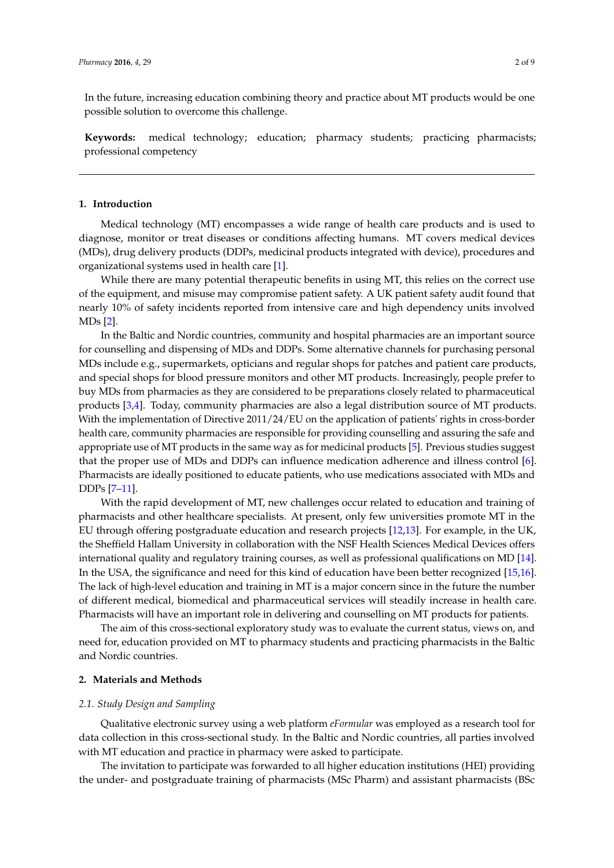In the future, increasing education combining theory and practice about MT products would be one possible solution to overcome this challenge.

**Keywords:** medical technology; education; pharmacy students; practicing pharmacists; professional competency

### **1. Introduction**

Medical technology (MT) encompasses a wide range of health care products and is used to diagnose, monitor or treat diseases or conditions affecting humans. MT covers medical devices (MDs), drug delivery products (DDPs, medicinal products integrated with device), procedures and organizational systems used in health care [\[1\]](#page-7-0).

While there are many potential therapeutic benefits in using MT, this relies on the correct use of the equipment, and misuse may compromise patient safety. A UK patient safety audit found that nearly 10% of safety incidents reported from intensive care and high dependency units involved MDs [\[2\]](#page-7-1).

In the Baltic and Nordic countries, community and hospital pharmacies are an important source for counselling and dispensing of MDs and DDPs. Some alternative channels for purchasing personal MDs include e.g., supermarkets, opticians and regular shops for patches and patient care products, and special shops for blood pressure monitors and other MT products. Increasingly, people prefer to buy MDs from pharmacies as they are considered to be preparations closely related to pharmaceutical products [\[3,](#page-7-2)[4\]](#page-7-3). Today, community pharmacies are also a legal distribution source of MT products. With the implementation of Directive 2011/24/EU on the application of patients' rights in cross-border health care, community pharmacies are responsible for providing counselling and assuring the safe and appropriate use of MT products in the same way as for medicinal products [\[5\]](#page-7-4). Previous studies suggest that the proper use of MDs and DDPs can influence medication adherence and illness control [\[6\]](#page-7-5). Pharmacists are ideally positioned to educate patients, who use medications associated with MDs and DDPs [\[7–](#page-7-6)[11\]](#page-7-7).

With the rapid development of MT, new challenges occur related to education and training of pharmacists and other healthcare specialists. At present, only few universities promote MT in the EU through offering postgraduate education and research projects [\[12,](#page-7-8)[13\]](#page-7-9). For example, in the UK, the Sheffield Hallam University in collaboration with the NSF Health Sciences Medical Devices offers international quality and regulatory training courses, as well as professional qualifications on MD [\[14\]](#page-7-10). In the USA, the significance and need for this kind of education have been better recognized [\[15,](#page-7-11)[16\]](#page-7-12). The lack of high-level education and training in MT is a major concern since in the future the number of different medical, biomedical and pharmaceutical services will steadily increase in health care. Pharmacists will have an important role in delivering and counselling on MT products for patients.

The aim of this cross-sectional exploratory study was to evaluate the current status, views on, and need for, education provided on MT to pharmacy students and practicing pharmacists in the Baltic and Nordic countries.

## **2. Materials and Methods**

## *2.1. Study Design and Sampling*

Qualitative electronic survey using a web platform *eFormular* was employed as a research tool for data collection in this cross-sectional study. In the Baltic and Nordic countries, all parties involved with MT education and practice in pharmacy were asked to participate.

The invitation to participate was forwarded to all higher education institutions (HEI) providing the under- and postgraduate training of pharmacists (MSc Pharm) and assistant pharmacists (BSc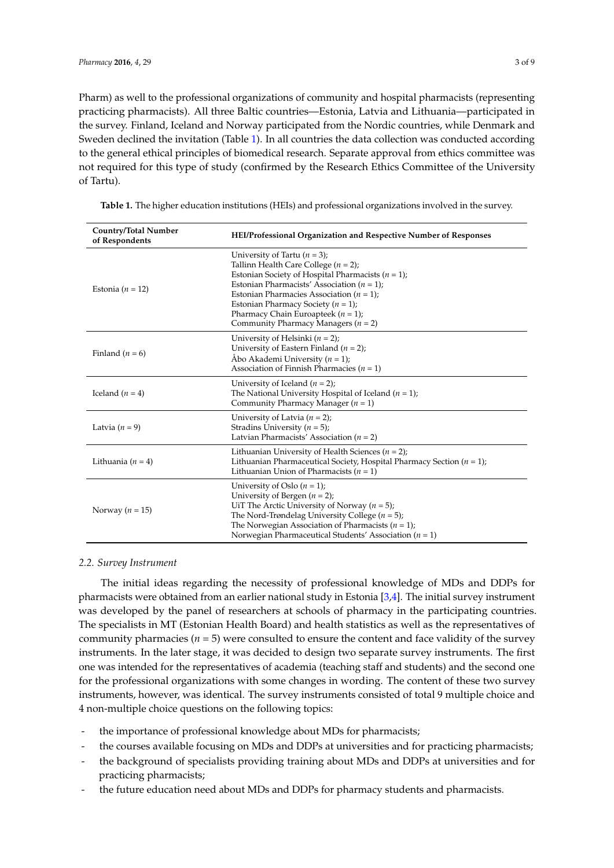Pharm) as well to the professional organizations of community and hospital pharmacists (representing practicing pharmacists). All three Baltic countries—Estonia, Latvia and Lithuania—participated in the survey. Finland, Iceland and Norway participated from the Nordic countries, while Denmark and Sweden declined the invitation (Table [1\)](#page-2-0). In all countries the data collection was conducted according to the general ethical principles of biomedical research. Separate approval from ethics committee was not required for this type of study (confirmed by the Research Ethics Committee of the University of Tartu).

| <b>Country/Total Number</b><br>of Respondents | HEI/Professional Organization and Respective Number of Responses                                                                                                                                                                                                                                                                                                   |  |  |  |  |  |
|-----------------------------------------------|--------------------------------------------------------------------------------------------------------------------------------------------------------------------------------------------------------------------------------------------------------------------------------------------------------------------------------------------------------------------|--|--|--|--|--|
| Estonia ( $n = 12$ )                          | University of Tartu $(n = 3)$ ;<br>Tallinn Health Care College $(n = 2)$ ;<br>Estonian Society of Hospital Pharmacists ( $n = 1$ );<br>Estonian Pharmacists' Association $(n = 1)$ ;<br>Estonian Pharmacies Association ( $n = 1$ );<br>Estonian Pharmacy Society ( $n = 1$ );<br>Pharmacy Chain Euroapteek $(n = 1)$ ;<br>Community Pharmacy Managers ( $n = 2$ ) |  |  |  |  |  |
| Finland $(n = 6)$                             | University of Helsinki $(n = 2)$ ;<br>University of Eastern Finland ( $n = 2$ );<br>Åbo Akademi University ( $n = 1$ );<br>Association of Finnish Pharmacies ( $n = 1$ )                                                                                                                                                                                           |  |  |  |  |  |
| Iceland $(n = 4)$                             | University of Iceland $(n = 2)$ ;<br>The National University Hospital of Iceland ( $n = 1$ );<br>Community Pharmacy Manager $(n = 1)$                                                                                                                                                                                                                              |  |  |  |  |  |
| Latvia $(n = 9)$                              | University of Latvia $(n = 2)$ ;<br>Stradins University ( $n = 5$ );<br>Latvian Pharmacists' Association ( $n = 2$ )                                                                                                                                                                                                                                               |  |  |  |  |  |
| Lithuania $(n = 4)$                           | Lithuanian University of Health Sciences ( $n = 2$ );<br>Lithuanian Pharmaceutical Society, Hospital Pharmacy Section ( $n = 1$ );<br>Lithuanian Union of Pharmacists $(n = 1)$                                                                                                                                                                                    |  |  |  |  |  |
| Norway ( $n = 15$ )                           | University of Oslo $(n = 1)$ ;<br>University of Bergen $(n = 2)$ ;<br>UiT The Arctic University of Norway ( $n = 5$ );<br>The Nord-Trøndelag University College ( $n = 5$ );<br>The Norwegian Association of Pharmacists $(n = 1)$ ;<br>Norwegian Pharmaceutical Students' Association ( $n = 1$ )                                                                 |  |  |  |  |  |

<span id="page-2-0"></span>**Table 1.** The higher education institutions (HEIs) and professional organizations involved in the survey.

#### *2.2. Survey Instrument*

The initial ideas regarding the necessity of professional knowledge of MDs and DDPs for pharmacists were obtained from an earlier national study in Estonia [\[3](#page-7-2)[,4\]](#page-7-3). The initial survey instrument was developed by the panel of researchers at schools of pharmacy in the participating countries. The specialists in MT (Estonian Health Board) and health statistics as well as the representatives of community pharmacies  $(n = 5)$  were consulted to ensure the content and face validity of the survey instruments. In the later stage, it was decided to design two separate survey instruments. The first one was intended for the representatives of academia (teaching staff and students) and the second one for the professional organizations with some changes in wording. The content of these two survey instruments, however, was identical. The survey instruments consisted of total 9 multiple choice and 4 non-multiple choice questions on the following topics:

- the importance of professional knowledge about MDs for pharmacists;
- the courses available focusing on MDs and DDPs at universities and for practicing pharmacists;
- the background of specialists providing training about MDs and DDPs at universities and for practicing pharmacists;
- the future education need about MDs and DDPs for pharmacy students and pharmacists.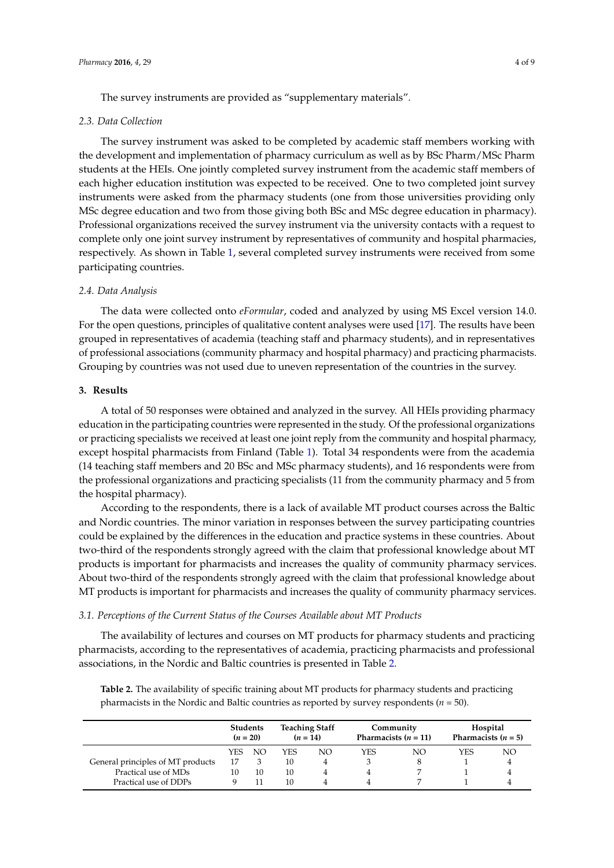The survey instruments are provided as "supplementary materials".

#### *2.3. Data Collection*

The survey instrument was asked to be completed by academic staff members working with the development and implementation of pharmacy curriculum as well as by BSc Pharm/MSc Pharm students at the HEIs. One jointly completed survey instrument from the academic staff members of each higher education institution was expected to be received. One to two completed joint survey instruments were asked from the pharmacy students (one from those universities providing only MSc degree education and two from those giving both BSc and MSc degree education in pharmacy). Professional organizations received the survey instrument via the university contacts with a request to complete only one joint survey instrument by representatives of community and hospital pharmacies, respectively. As shown in Table [1,](#page-2-0) several completed survey instruments were received from some participating countries.

## *2.4. Data Analysis*

The data were collected onto *eFormular*, coded and analyzed by using MS Excel version 14.0. For the open questions, principles of qualitative content analyses were used [\[17\]](#page-7-13). The results have been grouped in representatives of academia (teaching staff and pharmacy students), and in representatives of professional associations (community pharmacy and hospital pharmacy) and practicing pharmacists. Grouping by countries was not used due to uneven representation of the countries in the survey.

# **3. Results**

Practical use of DDPs

A total of 50 responses were obtained and analyzed in the survey. All HEIs providing pharmacy education in the participating countries were represented in the study. Of the professional organizations or practicing specialists we received at least one joint reply from the community and hospital pharmacy, except hospital pharmacists from Finland (Table [1\)](#page-2-0). Total 34 respondents were from the academia (14 teaching staff members and 20 BSc and MSc pharmacy students), and 16 respondents were from the professional organizations and practicing specialists (11 from the community pharmacy and 5 from the hospital pharmacy).

According to the respondents, there is a lack of available MT product courses across the Baltic and Nordic countries. The minor variation in responses between the survey participating countries could be explained by the differences in the education and practice systems in these countries. About two-third of the respondents strongly agreed with the claim that professional knowledge about MT products is important for pharmacists and increases the quality of community pharmacy services. About two-third of the respondents strongly agreed with the claim that professional knowledge about MT products is important for pharmacists and increases the quality of community pharmacy services.

#### *3.1. Perceptions of the Current Status of the Courses Available about MT Products*

The availability of lectures and courses on MT products for pharmacy students and practicing pharmacists, according to the representatives of academia, practicing pharmacists and professional associations, in the Nordic and Baltic countries is presented in Table [2.](#page-3-0)

**Students**  $(n = 20)$ **Teaching Staff**  $(n = 14)$ **Community Pharmacists (** $n = 11$ **) Hospital Pharmacists (** $n = 5$ **)** YES NO YES NO YES NO YES NO

General principles of MT products  $\begin{array}{cccccc} 17 & 3 & 10 & 4 & 3 & 8 & 1 & 4 \\ 21 & 10 & 10 & 10 & 4 & 4 & 7 & 1 & 4 \end{array}$ Practical use of MDs 10 10 10 10 4 4 7 1 4<br>Practical use of DDPs 9 11 10 4 4 7 1 4

<span id="page-3-0"></span>**Table 2.** The availability of specific training about MT products for pharmacy students and practicing pharmacists in the Nordic and Baltic countries as reported by survey respondents (*n* = 50).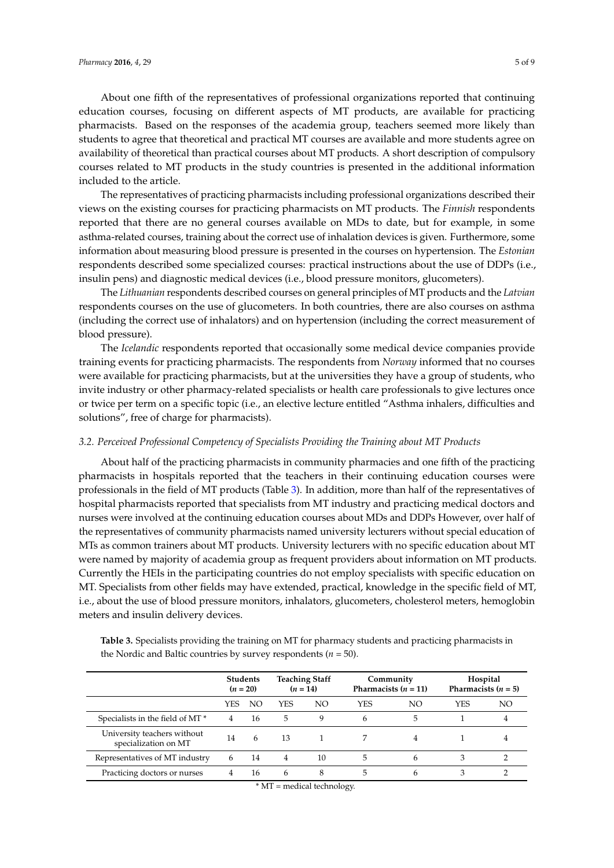About one fifth of the representatives of professional organizations reported that continuing education courses, focusing on different aspects of MT products, are available for practicing pharmacists. Based on the responses of the academia group, teachers seemed more likely than students to agree that theoretical and practical MT courses are available and more students agree on availability of theoretical than practical courses about MT products. A short description of compulsory courses related to MT products in the study countries is presented in the additional information included to the article.

The representatives of practicing pharmacists including professional organizations described their views on the existing courses for practicing pharmacists on MT products. The *Finnish* respondents reported that there are no general courses available on MDs to date, but for example, in some asthma-related courses, training about the correct use of inhalation devices is given. Furthermore, some information about measuring blood pressure is presented in the courses on hypertension. The *Estonian* respondents described some specialized courses: practical instructions about the use of DDPs (i.e., insulin pens) and diagnostic medical devices (i.e., blood pressure monitors, glucometers).

The *Lithuanian* respondents described courses on general principles of MT products and the *Latvian* respondents courses on the use of glucometers. In both countries, there are also courses on asthma (including the correct use of inhalators) and on hypertension (including the correct measurement of blood pressure).

The *Icelandic* respondents reported that occasionally some medical device companies provide training events for practicing pharmacists. The respondents from *Norway* informed that no courses were available for practicing pharmacists, but at the universities they have a group of students, who invite industry or other pharmacy-related specialists or health care professionals to give lectures once or twice per term on a specific topic (i.e., an elective lecture entitled "Asthma inhalers, difficulties and solutions", free of charge for pharmacists).

#### *3.2. Perceived Professional Competency of Specialists Providing the Training about MT Products*

About half of the practicing pharmacists in community pharmacies and one fifth of the practicing pharmacists in hospitals reported that the teachers in their continuing education courses were professionals in the field of MT products (Table [3\)](#page-4-0). In addition, more than half of the representatives of hospital pharmacists reported that specialists from MT industry and practicing medical doctors and nurses were involved at the continuing education courses about MDs and DDPs However, over half of the representatives of community pharmacists named university lecturers without special education of MTs as common trainers about MT products. University lecturers with no specific education about MT were named by majority of academia group as frequent providers about information on MT products. Currently the HEIs in the participating countries do not employ specialists with specific education on MT. Specialists from other fields may have extended, practical, knowledge in the specific field of MT, i.e., about the use of blood pressure monitors, inhalators, glucometers, cholesterol meters, hemoglobin meters and insulin delivery devices.

<span id="page-4-0"></span>

| Table 3. Specialists providing the training on MT for pharmacy students and practicing pharmacists in |
|-------------------------------------------------------------------------------------------------------|
| the Nordic and Baltic countries by survey respondents ( $n = 50$ ).                                   |
|                                                                                                       |

|                                                     | <b>Students</b><br>$(n = 20)$ |    | <b>Teaching Staff</b><br>$(n = 14)$ |     | Community<br>Pharmacists $(n = 11)$ |    | Hospital<br>Pharmacists $(n = 5)$ |    |
|-----------------------------------------------------|-------------------------------|----|-------------------------------------|-----|-------------------------------------|----|-----------------------------------|----|
|                                                     | YES                           | NO | YES                                 | NO. | <b>YES</b>                          | NΟ | <b>YES</b>                        | NΟ |
| Specialists in the field of MT*                     | 4                             | 16 | 5.                                  | 9   | 6                                   | 5  |                                   |    |
| University teachers without<br>specialization on MT | 14                            | -6 | 13                                  |     |                                     | 4  |                                   |    |
| Representatives of MT industry                      | 6                             | 14 | 4                                   | 10  | 5                                   | 6  | 3                                 |    |
| Practicing doctors or nurses                        | 4                             | 16 | 6                                   | 8   | 5                                   | 6  | 3                                 |    |

\* MT = medical technology.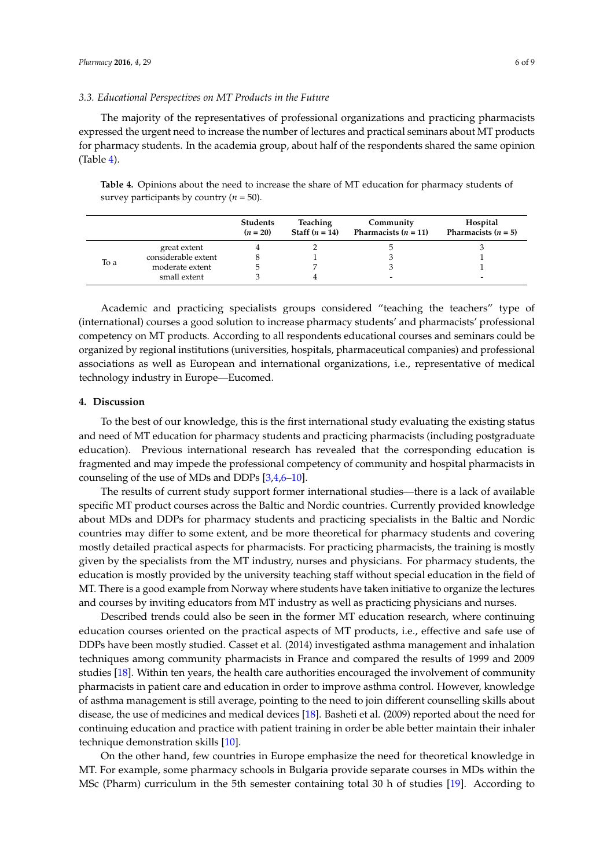### *3.3. Educational Perspectives on MT Products in the Future*

The majority of the representatives of professional organizations and practicing pharmacists expressed the urgent need to increase the number of lectures and practical seminars about MT products for pharmacy students. In the academia group, about half of the respondents shared the same opinion (Table [4\)](#page-5-0).

<span id="page-5-0"></span>**Table 4.** Opinions about the need to increase the share of MT education for pharmacy students of survey participants by country (*n* = 50).

|      |                     | <b>Students</b><br>$(n = 20)$ | <b>Teaching</b><br>Staff $(n = 14)$ | Community<br>Pharmacists $(n = 11)$ | Hospital<br>Pharmacists $(n = 5)$ |
|------|---------------------|-------------------------------|-------------------------------------|-------------------------------------|-----------------------------------|
|      | great extent        |                               |                                     | Э                                   |                                   |
|      | considerable extent |                               |                                     |                                     |                                   |
| To a | moderate extent     |                               |                                     |                                     |                                   |
|      | small extent        |                               |                                     | -                                   | -                                 |

Academic and practicing specialists groups considered "teaching the teachers" type of (international) courses a good solution to increase pharmacy students' and pharmacists' professional competency on MT products. According to all respondents educational courses and seminars could be organized by regional institutions (universities, hospitals, pharmaceutical companies) and professional associations as well as European and international organizations, i.e., representative of medical technology industry in Europe—Eucomed.

## **4. Discussion**

To the best of our knowledge, this is the first international study evaluating the existing status and need of MT education for pharmacy students and practicing pharmacists (including postgraduate education). Previous international research has revealed that the corresponding education is fragmented and may impede the professional competency of community and hospital pharmacists in counseling of the use of MDs and DDPs [\[3](#page-7-2)[,4](#page-7-3)[,6–](#page-7-5)[10\]](#page-7-14).

The results of current study support former international studies—there is a lack of available specific MT product courses across the Baltic and Nordic countries. Currently provided knowledge about MDs and DDPs for pharmacy students and practicing specialists in the Baltic and Nordic countries may differ to some extent, and be more theoretical for pharmacy students and covering mostly detailed practical aspects for pharmacists. For practicing pharmacists, the training is mostly given by the specialists from the MT industry, nurses and physicians. For pharmacy students, the education is mostly provided by the university teaching staff without special education in the field of MT. There is a good example from Norway where students have taken initiative to organize the lectures and courses by inviting educators from MT industry as well as practicing physicians and nurses.

Described trends could also be seen in the former MT education research, where continuing education courses oriented on the practical aspects of MT products, i.e., effective and safe use of DDPs have been mostly studied. Casset et al. (2014) investigated asthma management and inhalation techniques among community pharmacists in France and compared the results of 1999 and 2009 studies [\[18\]](#page-8-0). Within ten years, the health care authorities encouraged the involvement of community pharmacists in patient care and education in order to improve asthma control. However, knowledge of asthma management is still average, pointing to the need to join different counselling skills about disease, the use of medicines and medical devices [\[18\]](#page-8-0). Basheti et al. (2009) reported about the need for continuing education and practice with patient training in order be able better maintain their inhaler technique demonstration skills [\[10\]](#page-7-14).

On the other hand, few countries in Europe emphasize the need for theoretical knowledge in MT. For example, some pharmacy schools in Bulgaria provide separate courses in MDs within the MSc (Pharm) curriculum in the 5th semester containing total 30 h of studies [\[19\]](#page-8-1). According to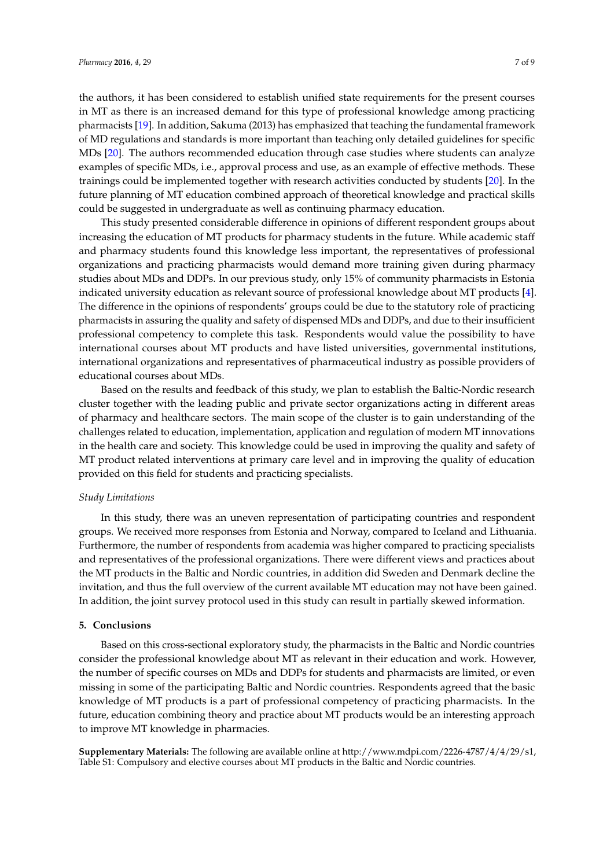the authors, it has been considered to establish unified state requirements for the present courses in MT as there is an increased demand for this type of professional knowledge among practicing pharmacists [\[19\]](#page-8-1). In addition, Sakuma (2013) has emphasized that teaching the fundamental framework of MD regulations and standards is more important than teaching only detailed guidelines for specific MDs [\[20\]](#page-8-2). The authors recommended education through case studies where students can analyze examples of specific MDs, i.e., approval process and use, as an example of effective methods. These trainings could be implemented together with research activities conducted by students [\[20\]](#page-8-2). In the future planning of MT education combined approach of theoretical knowledge and practical skills could be suggested in undergraduate as well as continuing pharmacy education.

This study presented considerable difference in opinions of different respondent groups about increasing the education of MT products for pharmacy students in the future. While academic staff and pharmacy students found this knowledge less important, the representatives of professional organizations and practicing pharmacists would demand more training given during pharmacy studies about MDs and DDPs. In our previous study, only 15% of community pharmacists in Estonia indicated university education as relevant source of professional knowledge about MT products [\[4\]](#page-7-3). The difference in the opinions of respondents' groups could be due to the statutory role of practicing pharmacists in assuring the quality and safety of dispensed MDs and DDPs, and due to their insufficient professional competency to complete this task. Respondents would value the possibility to have international courses about MT products and have listed universities, governmental institutions, international organizations and representatives of pharmaceutical industry as possible providers of educational courses about MDs.

Based on the results and feedback of this study, we plan to establish the Baltic-Nordic research cluster together with the leading public and private sector organizations acting in different areas of pharmacy and healthcare sectors. The main scope of the cluster is to gain understanding of the challenges related to education, implementation, application and regulation of modern MT innovations in the health care and society. This knowledge could be used in improving the quality and safety of MT product related interventions at primary care level and in improving the quality of education provided on this field for students and practicing specialists.

## *Study Limitations*

In this study, there was an uneven representation of participating countries and respondent groups. We received more responses from Estonia and Norway, compared to Iceland and Lithuania. Furthermore, the number of respondents from academia was higher compared to practicing specialists and representatives of the professional organizations. There were different views and practices about the MT products in the Baltic and Nordic countries, in addition did Sweden and Denmark decline the invitation, and thus the full overview of the current available MT education may not have been gained. In addition, the joint survey protocol used in this study can result in partially skewed information.

## **5. Conclusions**

Based on this cross-sectional exploratory study, the pharmacists in the Baltic and Nordic countries consider the professional knowledge about MT as relevant in their education and work. However, the number of specific courses on MDs and DDPs for students and pharmacists are limited, or even missing in some of the participating Baltic and Nordic countries. Respondents agreed that the basic knowledge of MT products is a part of professional competency of practicing pharmacists. In the future, education combining theory and practice about MT products would be an interesting approach to improve MT knowledge in pharmacies.

**Supplementary Materials:** The following are available online at [http://www.mdpi.com/2226-4787/4/4/29/s1,](http://www.mdpi.com/2226-4787/4/4/29/s1) Table S1: Compulsory and elective courses about MT products in the Baltic and Nordic countries.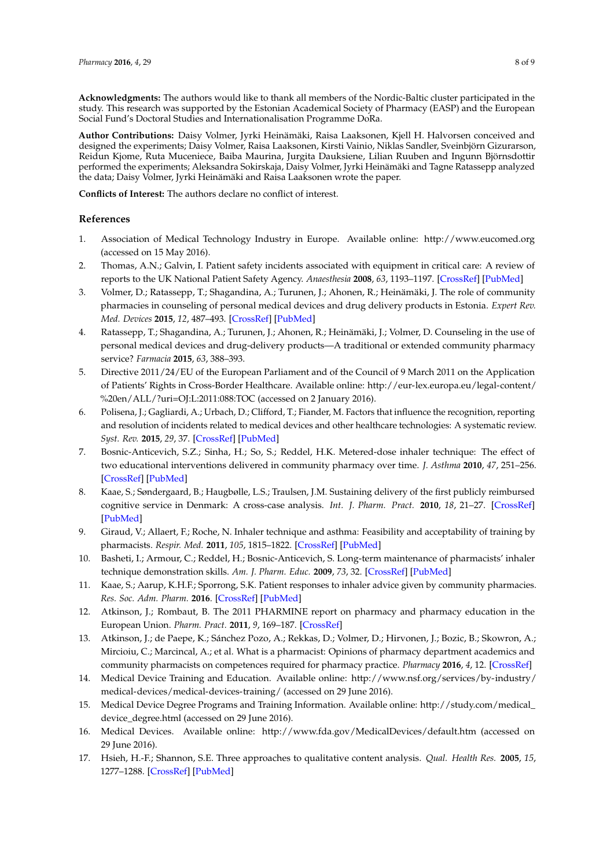**Acknowledgments:** The authors would like to thank all members of the Nordic-Baltic cluster participated in the study. This research was supported by the Estonian Academical Society of Pharmacy (EASP) and the European Social Fund's Doctoral Studies and Internationalisation Programme DoRa.

**Author Contributions:** Daisy Volmer, Jyrki Heinämäki, Raisa Laaksonen, Kjell H. Halvorsen conceived and designed the experiments; Daisy Volmer, Raisa Laaksonen, Kirsti Vainio, Niklas Sandler, Sveinbjörn Gizurarson, Reidun Kjome, Ruta Muceniece, Baiba Maurina, Jurgita Dauksiene, Lilian Ruuben and Ingunn Björnsdottir performed the experiments; Aleksandra Sokirskaja, Daisy Volmer, Jyrki Heinämäki and Tagne Ratassepp analyzed the data; Daisy Volmer, Jyrki Heinämäki and Raisa Laaksonen wrote the paper.

**Conflicts of Interest:** The authors declare no conflict of interest.

## **References**

- <span id="page-7-0"></span>1. Association of Medical Technology Industry in Europe. Available online: <http://www.eucomed.org> (accessed on 15 May 2016).
- <span id="page-7-1"></span>2. Thomas, A.N.; Galvin, I. Patient safety incidents associated with equipment in critical care: A review of reports to the UK National Patient Safety Agency. *Anaesthesia* **2008**, *63*, 1193–1197. [\[CrossRef\]](http://dx.doi.org/10.1111/j.1365-2044.2008.05607.x) [\[PubMed\]](http://www.ncbi.nlm.nih.gov/pubmed/18803628)
- <span id="page-7-2"></span>3. Volmer, D.; Ratassepp, T.; Shagandina, A.; Turunen, J.; Ahonen, R.; Heinämäki, J. The role of community pharmacies in counseling of personal medical devices and drug delivery products in Estonia. *Expert Rev. Med. Devices* **2015**, *12*, 487–493. [\[CrossRef\]](http://dx.doi.org/10.1586/17434440.2015.1052405) [\[PubMed\]](http://www.ncbi.nlm.nih.gov/pubmed/26037824)
- <span id="page-7-3"></span>4. Ratassepp, T.; Shagandina, A.; Turunen, J.; Ahonen, R.; Heinämäki, J.; Volmer, D. Counseling in the use of personal medical devices and drug-delivery products—A traditional or extended community pharmacy service? *Farmacia* **2015**, *63*, 388–393.
- <span id="page-7-4"></span>5. Directive 2011/24/EU of the European Parliament and of the Council of 9 March 2011 on the Application of Patients' Rights in Cross-Border Healthcare. Available online: [http://eur-lex.europa.eu/legal-content/](http://eur-lex.europa.eu/legal-content/%20en/ALL/?uri=OJ:L:2011:088:TOC) [%20en/ALL/?uri=OJ:L:2011:088:TOC](http://eur-lex.europa.eu/legal-content/%20en/ALL/?uri=OJ:L:2011:088:TOC) (accessed on 2 January 2016).
- <span id="page-7-5"></span>6. Polisena, J.; Gagliardi, A.; Urbach, D.; Clifford, T.; Fiander, M. Factors that influence the recognition, reporting and resolution of incidents related to medical devices and other healthcare technologies: A systematic review. *Syst. Rev.* **2015**, *29*, 37. [\[CrossRef\]](http://dx.doi.org/10.1186/s13643-015-0028-0) [\[PubMed\]](http://www.ncbi.nlm.nih.gov/pubmed/25875375)
- <span id="page-7-6"></span>7. Bosnic-Anticevich, S.Z.; Sinha, H.; So, S.; Reddel, H.K. Metered-dose inhaler technique: The effect of two educational interventions delivered in community pharmacy over time. *J. Asthma* **2010**, *47*, 251–256. [\[CrossRef\]](http://dx.doi.org/10.3109/02770900903580843) [\[PubMed\]](http://www.ncbi.nlm.nih.gov/pubmed/20394511)
- 8. Kaae, S.; Søndergaard, B.; Haugbølle, L.S.; Traulsen, J.M. Sustaining delivery of the first publicly reimbursed cognitive service in Denmark: A cross-case analysis. *Int. J. Pharm. Pract.* **2010**, *18*, 21–27. [\[CrossRef\]](http://dx.doi.org/10.1211/ijpp.18.01.0005) [\[PubMed\]](http://www.ncbi.nlm.nih.gov/pubmed/20405592)
- 9. Giraud, V.; Allaert, F.; Roche, N. Inhaler technique and asthma: Feasibility and acceptability of training by pharmacists. *Respir. Med.* **2011**, *105*, 1815–1822. [\[CrossRef\]](http://dx.doi.org/10.1016/j.rmed.2011.07.004) [\[PubMed\]](http://www.ncbi.nlm.nih.gov/pubmed/21802271)
- <span id="page-7-14"></span>10. Basheti, I.; Armour, C.; Reddel, H.; Bosnic-Anticevich, S. Long-term maintenance of pharmacists' inhaler technique demonstration skills. *Am. J. Pharm. Educ.* **2009**, *73*, 32. [\[CrossRef\]](http://dx.doi.org/10.5688/aj730232) [\[PubMed\]](http://www.ncbi.nlm.nih.gov/pubmed/19513170)
- <span id="page-7-7"></span>11. Kaae, S.; Aarup, K.H.F.; Sporrong, S.K. Patient responses to inhaler advice given by community pharmacies. *Res. Soc. Adm. Pharm.* **2016**. [\[CrossRef\]](http://dx.doi.org/10.1016/j.sapharm.2016.03.006) [\[PubMed\]](http://www.ncbi.nlm.nih.gov/pubmed/27118658)
- <span id="page-7-8"></span>12. Atkinson, J.; Rombaut, B. The 2011 PHARMINE report on pharmacy and pharmacy education in the European Union. *Pharm. Pract.* **2011**, *9*, 169–187. [\[CrossRef\]](http://dx.doi.org/10.4321/S1886-36552011000400001)
- <span id="page-7-9"></span>13. Atkinson, J.; de Paepe, K.; Sánchez Pozo, A.; Rekkas, D.; Volmer, D.; Hirvonen, J.; Bozic, B.; Skowron, A.; Mircioiu, C.; Marcincal, A.; et al. What is a pharmacist: Opinions of pharmacy department academics and community pharmacists on competences required for pharmacy practice. *Pharmacy* **2016**, *4*, 12. [\[CrossRef\]](http://dx.doi.org/10.3390/pharmacy4010012)
- <span id="page-7-10"></span>14. Medical Device Training and Education. Available online: [http://www.nsf.org/services/by-industry/](http://www.nsf.org/services/by-industry/medical-devices/medical-devices-training/) [medical-devices/medical-devices-training/](http://www.nsf.org/services/by-industry/medical-devices/medical-devices-training/) (accessed on 29 June 2016).
- <span id="page-7-11"></span>15. Medical Device Degree Programs and Training Information. Available online: [http://study.com/medical\\_](http://study.com/medical_device_degree.html) [device\\_degree.html](http://study.com/medical_device_degree.html) (accessed on 29 June 2016).
- <span id="page-7-12"></span>16. Medical Devices. Available online: <http://www.fda.gov/MedicalDevices/default.htm> (accessed on 29 June 2016).
- <span id="page-7-13"></span>17. Hsieh, H.-F.; Shannon, S.E. Three approaches to qualitative content analysis. *Qual. Health Res.* **2005**, *15*, 1277–1288. [\[CrossRef\]](http://dx.doi.org/10.1177/1049732305276687) [\[PubMed\]](http://www.ncbi.nlm.nih.gov/pubmed/16204405)